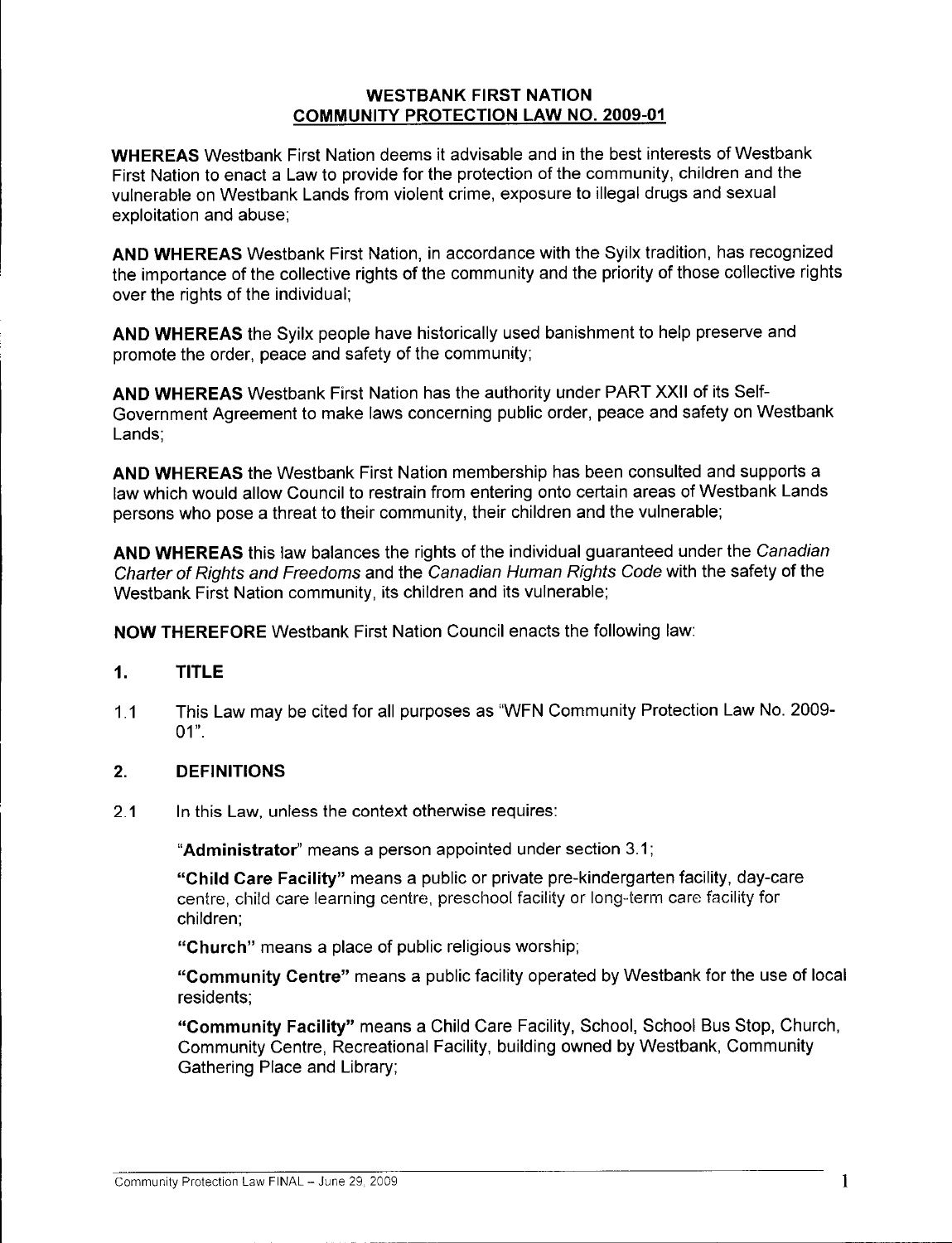#### WESTBANK FIRST NATION COMMUNITY PROTECTION LAW NO. 2009-01

WHEREAS Westbank First Nation deems it advisable and in the best interests of Westbank First Nation to enact <sup>a</sup> Law to provide for the protection of the community, children and the vulnerable on Westbank Lands from violent crime, exposure to illegal drugs and sexual exploitation and abuse;

AND WHEREAS Westbank First Nation, in accordance with the Syilx tradition, has recognized the importance of the collective rights of the community and the priority of those collective rights over the rights of the individual;

AND WHEREAS the Syilx people have historically used banishment to help preserve and promote the order, peace and safety of the community;

AND WHEREAS Westbank First Nation has the authority under PART XXII of its Self-Government Agreement to make laws concerning public order, peace and safety on Westbank Lands;

AND WHEREAS the Westbank First Nation membership has been consulted and supports <sup>a</sup> law which would allow Council to restrain from entering onto certain areas of Westbank Lands persons who pose <sup>a</sup> threat to their community, their children and the vulnerable;

AND WHEREAS this law balances the rights of the individual guaranteed under the Canadian Charter of Rights and Freedoms and the Canadian Human Rights Code with the safety of the Westbank First Nation community, its children and its vulnerable;

NOW THEREFORE Westbank First Nation Council enacts the following law:

#### 1. TITLE

1.1 This Law may be cited for all purposes as "WFN Community Protection Law No. 2009- $01"$ .

### 2. DEFINITIONS

2.1 In this Law, unless the context otherwise requires:

Administrator" means <sup>a</sup> person appointed under section 3.1;

Child Care Facility" means <sup>a</sup> public or private pre-kindergarten facility, day-care centre, child care learning centre, preschool facility or long-term care facility for children;

Church" means <sup>a</sup> place of public religious worship;

Community Centre" means <sup>a</sup> public facility operated by Westbank for the use of local residents;

Community Facility" means <sup>a</sup> Child Care Facility, School, School Bus Stop, Church, Community Centre, Recreational Facility, building owned by Westbank, Community Gathering Place and Library;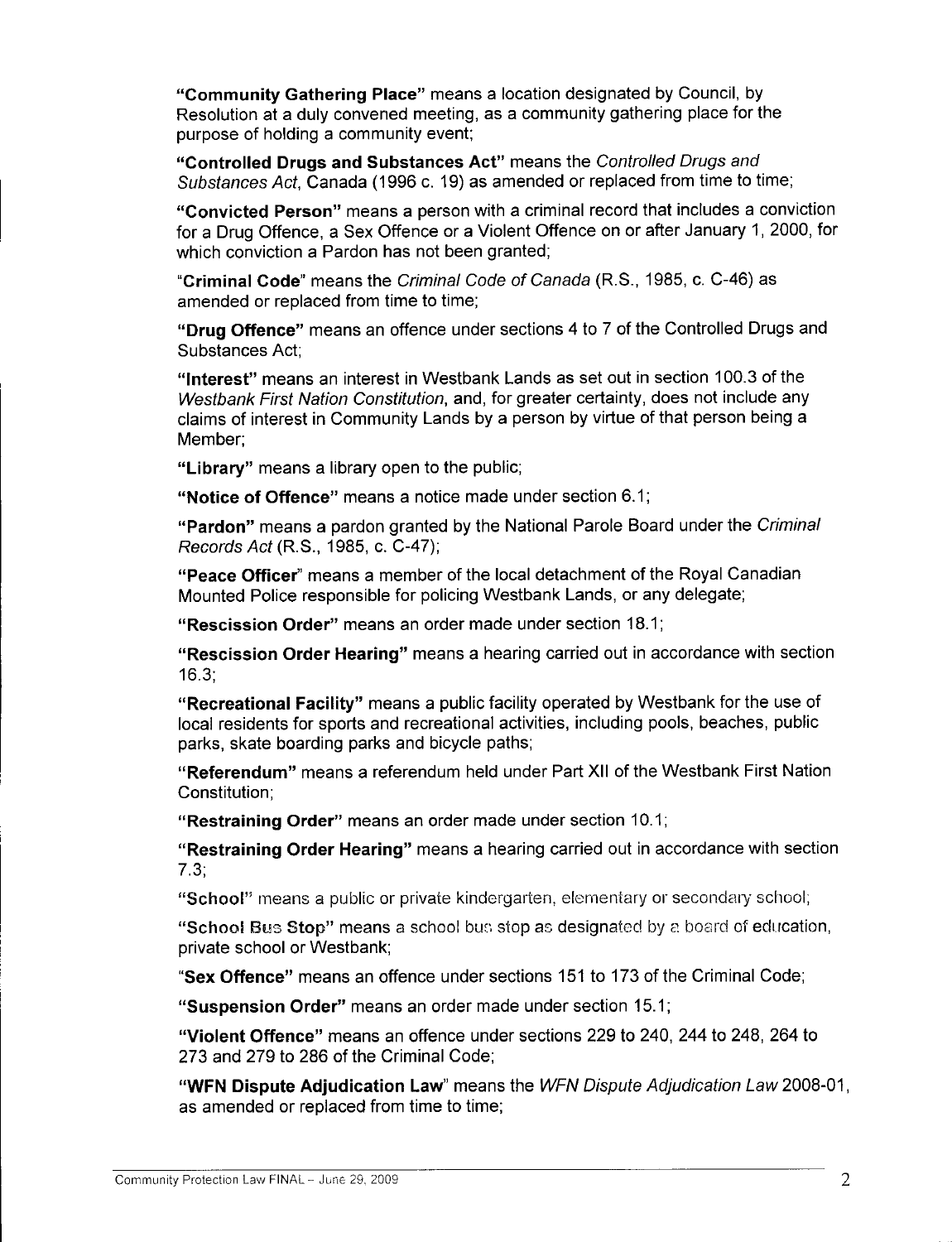Community Gathering Place" means <sup>a</sup> location designated by Council, by Resolution at <sup>a</sup> duly convened meeting, as <sup>a</sup> community gathering place for the purpose of holding <sup>a</sup> community event;

Controlled Drugs and Substances Act" means the Controlled Drugs and Substances Act, Canada (1996 c. 19) as amended or replaced from time to time;

Convicted Person" means <sup>a</sup> person with <sup>a</sup> criminal record that includes <sup>a</sup> conviction for <sup>a</sup> Drug Offence, <sup>a</sup> Sex Offence or <sup>a</sup> Violent Offence on or after January 1, 2000, for which conviction a Pardon has not been granted;

Criminal Code" means the Criminal Code of Canada (R.S., 1985, c. C-46) as amended or replaced from time to time;

Drug Offence" means an offence under sections <sup>4</sup> to <sup>7</sup> of the Controlled Drugs and Substances Act;

"Interest" means an interest in Westbank Lands as set out in section 100.3 of the Westbank First Nation Constitution, and, for greater certainty, does not include any claims of interest in Community Lands by <sup>a</sup> person by virtue of that person being <sup>a</sup> Member;

"Library" means a library open to the public;

Notice of Offence" means <sup>a</sup> notice made under section 6.1;

Pardon" means <sup>a</sup> pardon granted by the National Parole Board under the Criminal Records Act (R.S., 1985, c. C-47);

Peace Officer" means <sup>a</sup> member of the local detachment of the Royal Canadian Mounted Police responsible for policing Westbank Lands, or any delegate;

Rescission Order" means an order made under section 18.1;

Rescission Order Hearing" means <sup>a</sup> hearing carried out in accordance with section 16.3;

Recreational Facility" means <sup>a</sup> public facility operated by Westbank for the use of local residents for sports and recreational activities, including pools, beaches, public parks, skate boarding parks and bicycle paths;

Referendum" means <sup>a</sup> referendum held under Part XII of the Westbank First Nation Constitution;

Restraining Order" means an order made under section 10.1;

Restraining Order Hearing" means <sup>a</sup> hearing carried out in accordance with section 7.3;

School" means <sup>a</sup> public or private kindergarten, elementary or secondary school;

"School Bus Stop" means a school bus stop as designated by a board of education, private school or Westbank;

Sex Offence" means an offence under sections <sup>151</sup> to 173 of the Criminal Code;

Suspension Order" means an order made under section 15.1;

Violent Offence" means an offence under sections 229 to 240, 244 to 248, 264 to 273 and 279 to 286 of the Criminal Code;

"WFN Dispute Adjudication Law" means the WFN Dispute Adjudication Law 2008-01, as amended or replaced from time to time;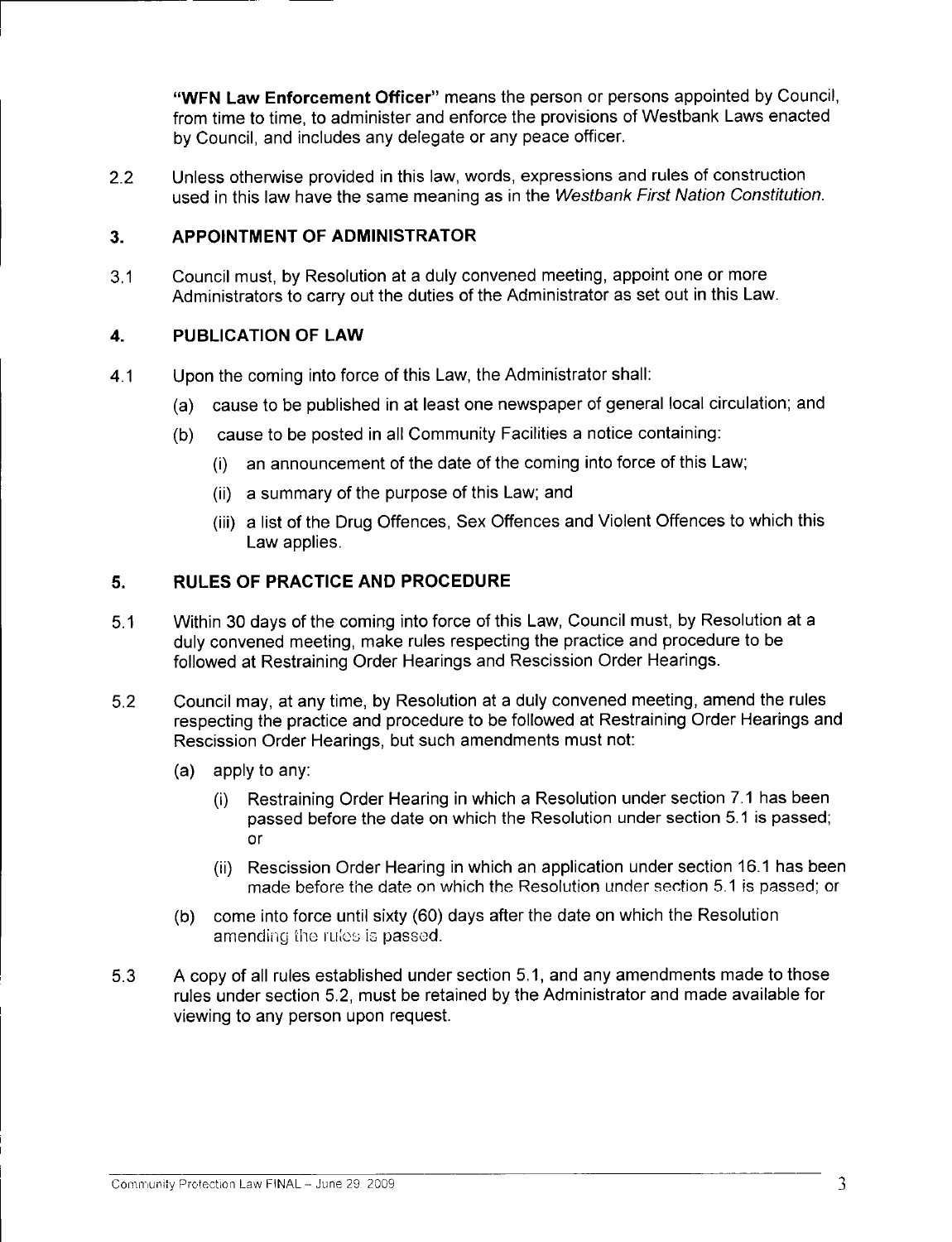WFN Law Enforcement Officer" means the person or persons appointed by Council, from time to time, to administer and enforce the provisions of Westbank Laws enacted by Council, and includes any delegate or any peace officer.

2.2 Unless otherwise provided in this law, words, expressions and rules of construction used in this law have the same meaning as in the Westbank First Nation Constitution.

## 3. APPOINTMENT OF ADMINISTRATOR

3.1 Council must, by Resolution at <sup>a</sup> duly convened meeting, appoint one or more Administrators to carry out the duties of the Administrator as set out in this Law.

### 4. PUBLICATION OF LAW

- 4.1 Upon the coming into force of this Law, the Administrator shall:
	- a) cause to be published in at least one newspaper of general local circulation; and
	- b) cause to be posted in all Community Facilities <sup>a</sup> notice containing:
		- i) an announcement of the date of the coming into force of this Law;
		- ii) <sup>a</sup> summary of the purpose of this Law; and
		- iii) <sup>a</sup> list of the Drug Offences, Sex Offences and Violent Offences to which this Law applies.

## 5. RULES OF PRACTICE AND PROCEDURE

- 5.1 Within <sup>30</sup> days of the coming into force of this Law, Council must, by Resolution at <sup>a</sup> duly convened meeting, make rules respecting the practice and procedure to be followed at Restraining Order Hearings and Rescission Order Hearings.
- 5.2 Council may, at any time, by Resolution at <sup>a</sup> duly convened meeting, amend the rules respecting the practice and procedure to be followed at Restraining Order Hearings and Rescission Order Hearings, but such amendments must not:
	- a) apply to any:
		- i) Restraining Order Hearing in which <sup>a</sup> Resolution under section 7.1 has been passed before the date on which the Resolution under section 5.1 is passed; or
		- ii) Rescission Order Hearing in which an application under section 16.1 has been made before the date on which the Resolution under section 5.1 is passed; or
	- b) come into force until sixty (60) days after the date on which the Resolution amending the rules is passed.
- 5.3 <sup>A</sup> copy of all rules established under section 5.1, and any amendments made to those rules under section 5.2, must be retained by the Administrator and made available for viewing to any person upon request.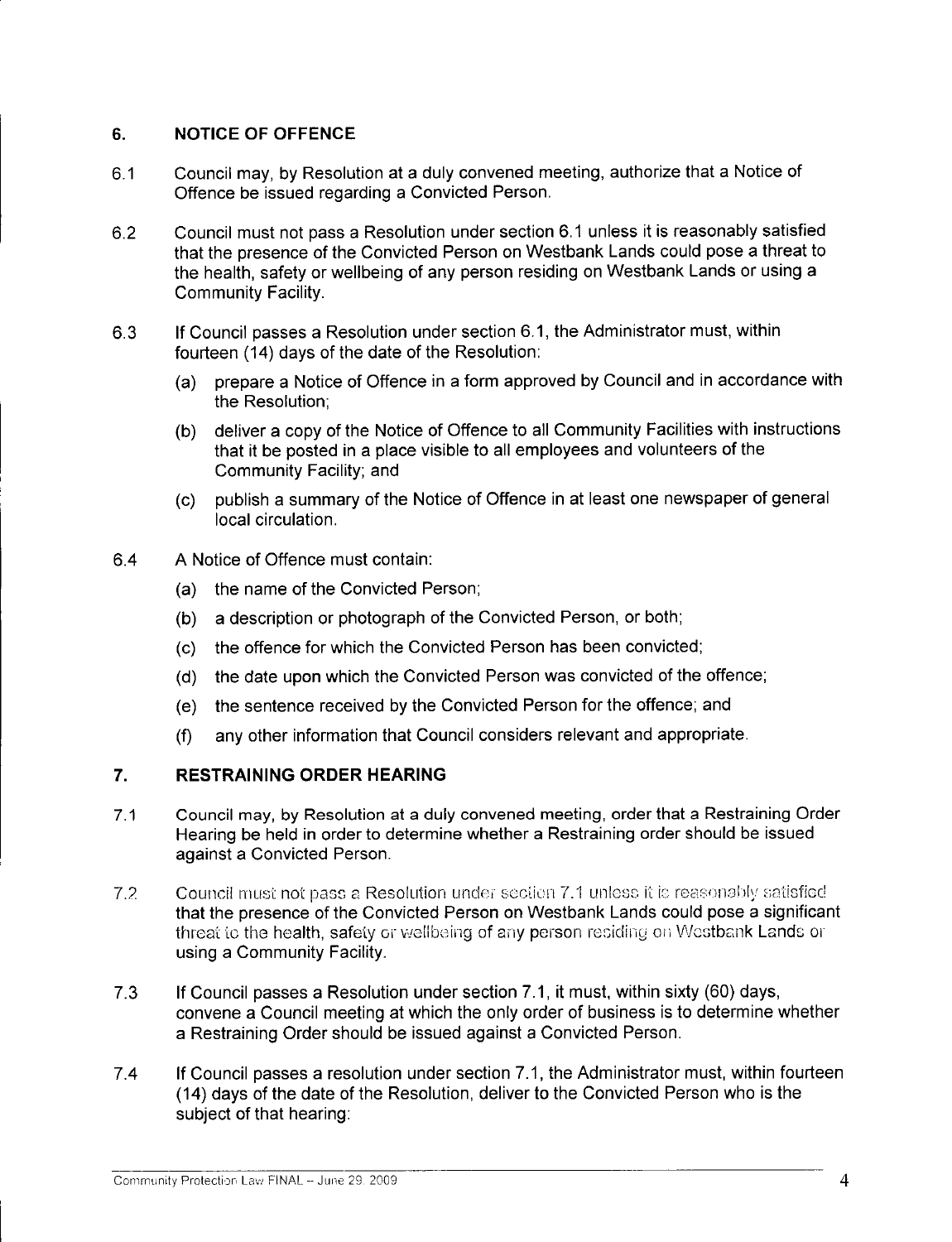## 6. NOTICE OF OFFENCE

- 6.1 Council may, by Resolution at <sup>a</sup> duly convened meeting, authorize that <sup>a</sup> Notice of Offence be issued regarding <sup>a</sup> Convicted Person.
- 6.2 Council must not pass <sup>a</sup> Resolution under section 6.1 unless it is reasonably satisfied that the presence of the Convicted Person on Westbank Lands could pose <sup>a</sup> threat to the health, safety or wellbeing of any person residing on Westbank Lands or using <sup>a</sup> Community Facility.
- 6.3 If Council passes <sup>a</sup> Resolution under section 6. 1, the Administrator must, within fourteen (14) days of the date of the Resolution:
	- a) prepare <sup>a</sup> Notice of Offence in <sup>a</sup> form approved by Council and in accordance with the Resolution;
	- b) deliver <sup>a</sup> copy of the Notice of Offence to all Community Facilities with instructions that it be posted in <sup>a</sup> place visible to all employees and volunteers of the Community Facility; and
	- c) publish <sup>a</sup> summary of the Notice of Offence in at least one newspaper of general local circulation.
- 6.4 A Notice of Offence must contain:
	- a) the name of the Convicted Person;
	- b) <sup>a</sup> description or photograph of the Convicted Person, or both;
	- c) the offence for which the Convicted Person has been convicted;
	- d) the date upon which the Convicted Person was convicted of the offence;
	- e) the sentence received by the Convicted Person for the offence; and
	- f) any other information that Council considers relevant and appropriate.

### 7. RESTRAINING ORDER HEARING

- 7.1 Council may, by Resolution at <sup>a</sup> duly convened meeting, order that <sup>a</sup> Restraining Order Hearing be held in order to determine whether <sup>a</sup> Restraining order should be issued against <sup>a</sup> Convicted Person.
- 7.2 Council must not pass a Resolution under section 7.1 unless it is reasonably satisfied that the presence of the Convicted Person on Westbank Lands could pose a significant threat to the health, safety or wellbeing of any person residing on Westbank Lands or using a Community Facility.
- 7.3 If Council passes <sup>a</sup> Resolution under section 7.1, it must, within sixty (60) days, convene <sup>a</sup> Council meeting at which the only order of business is to determine whether <sup>a</sup> Restraining Order should be issued against <sup>a</sup> Convicted Person.
- 7.4 If Council passes <sup>a</sup> resolution under section 7.1, the Administrator must, within fourteen 14) days of the date of the Resolution, deliver to the Convicted Person who is the subject of that hearing: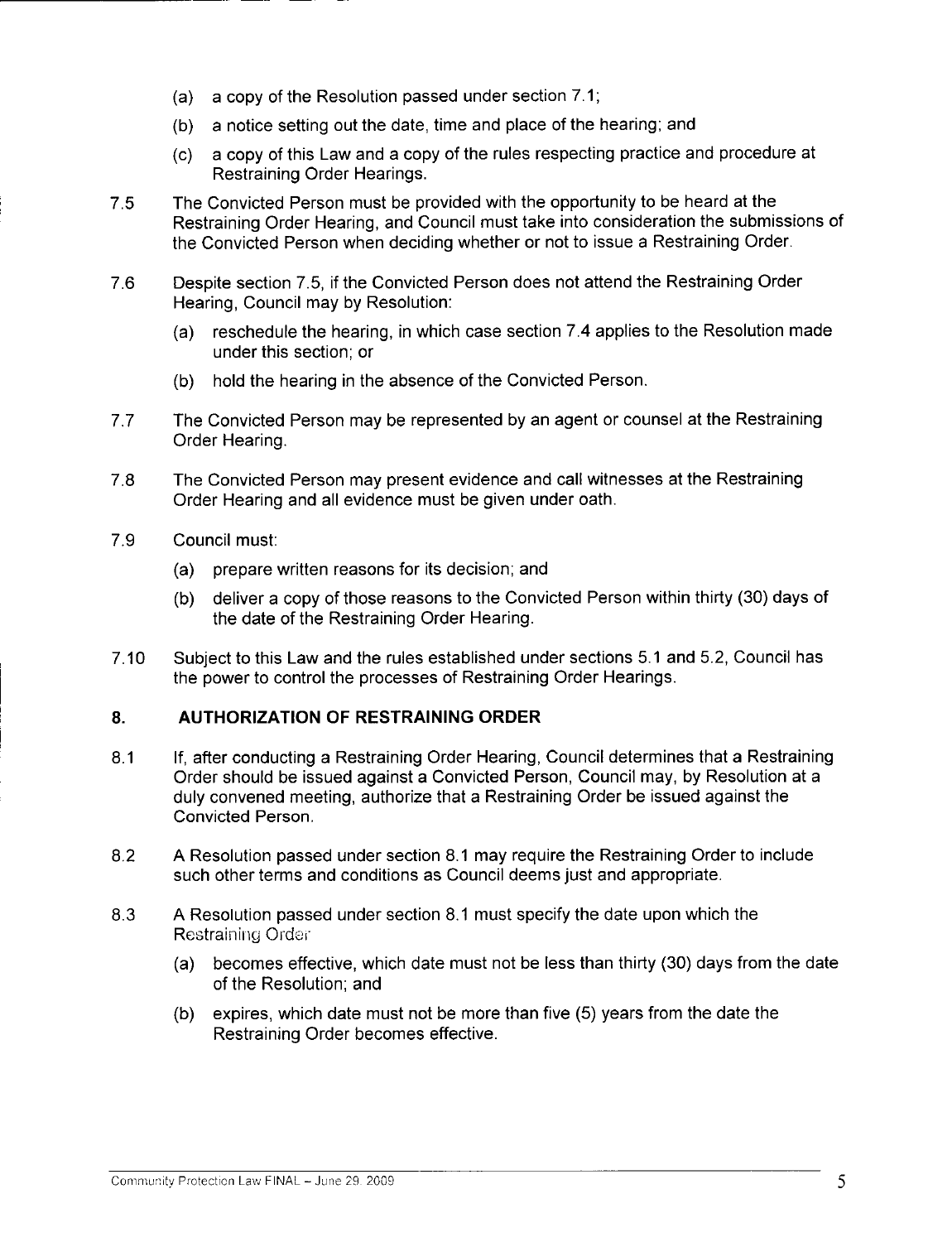- a) <sup>a</sup> copy of the Resolution passed under section 7.1;
- b) <sup>a</sup> notice setting out the date, time and place of the hearing; and
- c) <sup>a</sup> copy of this Law and <sup>a</sup> copy of the rules respecting practice and procedure at Restraining Order Hearings.
- 7.5 The Convicted Person must be provided with the opportunity to be heard at the Restraining Order Hearing, and Council must take into consideration the submissions of the Convicted Person when deciding whether or not to issue <sup>a</sup> Restraining Order.
- 7.6 Despite section 7.5, if the Convicted Person does not attend the Restraining Order Hearing, Council may by Resolution:
	- a) reschedule the hearing, in which case section 7.4 applies to the Resolution made under this section; or
	- b) hold the hearing in the absence of the Convicted Person.
- 7.7 The Convicted Person may be represented by an agent or counsel at the Restraining Order Hearing.
- 7.8 The Convicted Person may present evidence and call witnesses at the Restraining Order Hearing and all evidence must be given under oath.
- 7.9 Council must:
	- a) prepare written reasons for its decision; and
	- b) deliver <sup>a</sup> copy of those reasons to the Convicted Person within thirty (30) days of the date of the Restraining Order Hearing.
- 7.10 Subject to this Law and the rules established under sections 5.1 and 5.2, Council has the power to control the processes of Restraining Order Hearings.

# 8. AUTHORIZATION OF RESTRAINING ORDER

- 8.1 If, after conducting <sup>a</sup> Restraining Order Hearing, Council determines that <sup>a</sup> Restraining Order should be issued against <sup>a</sup> Convicted Person, Council may, by Resolution at <sup>a</sup> duly convened meeting, authorize that <sup>a</sup> Restraining Order be issued against the Convicted Person.
- 8.2 A Resolution passed under section 8.1 may require the Restraining Order to include such other terms and conditions as Council deems just and appropriate.
- 8.3 A Resolution passed under section 8.1 must specify the date upon which the Restraining Order
	- a) becomes effective, which date must not be less than thirty (30) days from the date of the Resolution; and
	- b) expires, which date must not be more than five (5) years from the date the Restraining Order becomes effective.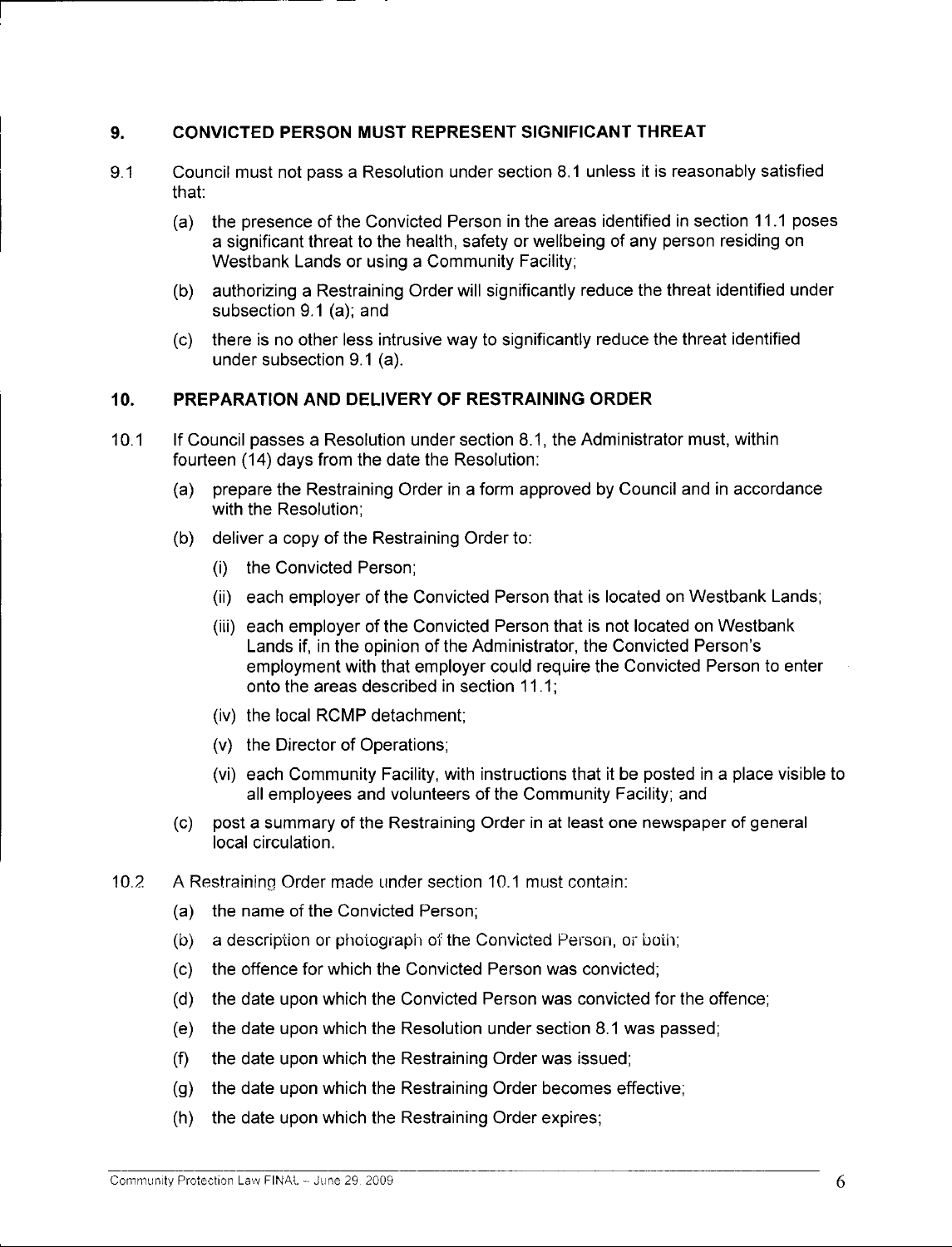## 9. CONVICTED PERSON MUST REPRESENT SIGNIFICANT THREAT

- 9.1 Council must not pass <sup>a</sup> Resolution under section 8.1 unless it is reasonably satisfied that:
	- a) the presence of the Convicted Person in the areas identified in section 11.1 poses a significant threat to the health, safety or wellbeing of any person residing on Westbank Lands or using <sup>a</sup> Community Facility;
	- b) authorizing <sup>a</sup> Restraining Order will significantly reduce the threat identified under subsection 9.1 (a); and
	- c) there is no other less intrusive way to significantly reduce the threat identified under subsection 9.1 (a).

### 10. PREPARATION AND DELIVERY OF RESTRAINING ORDER

- 10.1 If Council passes <sup>a</sup> Resolution under section 8.1, the Administrator must, within fourteen (14) days from the date the Resolution:
	- a) prepare the Restraining Order in <sup>a</sup> form approved by Council and in accordance with the Resolution;
	- b) deliver <sup>a</sup> copy of the Restraining Order to: i) the Convicted Person;
		-
		- ii) each employer of the Convicted Person that is located on Westbank Lands;
		- (ii) each employer of the Convicted Person that is not located on Westbank<br>Lands if, in the opinion of the Administrator, the Convicted Person's<br>constant with the constant with the convicted Person's employment with that employer could require the Convicted Person to enter onto the areas described in section 11.1;
		- iv) the local RCMP detachment;
		- v) the Director of Operations;
		- vi) each Community Facility, with instructions that it be posted in <sup>a</sup> place visible to all employees and volunteers of the Community Facility; and
	- c) post <sup>a</sup> summary of the Restraining Order in at least one newspaper of general local circulation.
- 10.2 <sup>A</sup> Restraining Order made Linder section 10.1 must contain:
	- a) the name of the Convicted Person;
	- b) <sup>a</sup> description or photograph of the Convicted Person, or boih;
	- c) the offence for which the Convicted Person was convicted;
	- d) the date upon which the Convicted Person was convicted for the offence;
	- e) the date upon which the Resolution under section 8.1 was passed;
	- f) the date upon which the Restraining Order was issued;
	- g) the date upon which the Restraining Order becomes effective;
	- h) the date upon which the Restraining Order expires;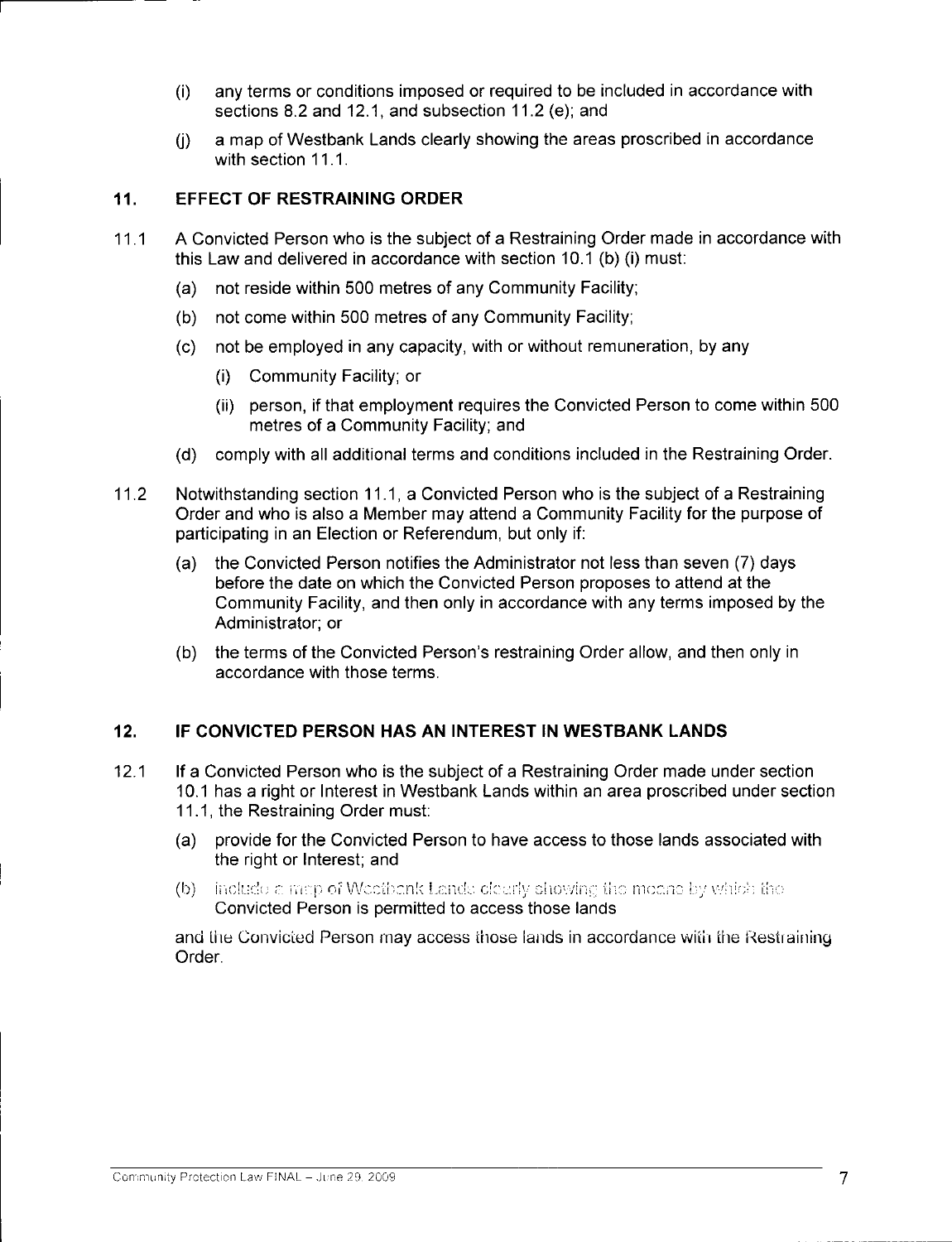- i) any terms or conditions imposed or required to be included in accordance with sections 8.2 and 12.1, and subsection 11.2 (e); and
- j) <sup>a</sup> map of Westbank Lands clearly showing the areas proscribed in accordance with section 11.1.

### 11. EFFECT OF RESTRAINING ORDER

- 11.1 <sup>A</sup> Convicted Person who is the subject of <sup>a</sup> Restraining Order made in accordance with this Law and delivered in accordance with section 10.1 (b) (i) must:
	- a) not reside within <sup>500</sup> metres of any Community Facility;
	- b) not come within <sup>500</sup> metres of any Community Facility;
	- c) not be employed in any capacity, with or without remuneration, by any
		- i) Community Facility; or
		- ii) person, if that employment requires the Convicted Person to come within <sup>500</sup> metres of <sup>a</sup> Community Facility; and
	- d) comply with all additional terms and conditions included in the Restraining Order.
- 11.2 Notwithstanding section 11.1, <sup>a</sup> Convicted Person who is the subject of <sup>a</sup> Restraining Order and who is also <sup>a</sup> Member may attend a Community Facility for the purpose of participating in an Election or Referendum, but only if:
	- a) the Convicted Person notifies the Administrator not less than seven (7) days before the date on which the Convicted Person proposes to attend at the Community Facility, and then only in accordance with any terms imposed by the Administrator; or
	- (b) the terms of the Convicted Person's restraining Order allow, and then only in accordance with those terms.

### 12. IF CONVICTED PERSON HAS AN INTEREST IN WESTBANK LANDS

- 12.1 If <sup>a</sup> Convicted Person who is the subject of <sup>a</sup> Restraining Order made under section 10.1 has <sup>a</sup> right or Interest in Westbank Lands within an area proscribed under section 11.1, the Restraining Order must:
	- a) provide for the Convicted Person to have access to those lands associated with the right or Interest; and
	- $(b)$ -include a map of Weetbank Lands clearly showing the means by which the Convicted Person is permitted to access those lands

and the Convicted Person may access those lands in accordance with the Restraining Order.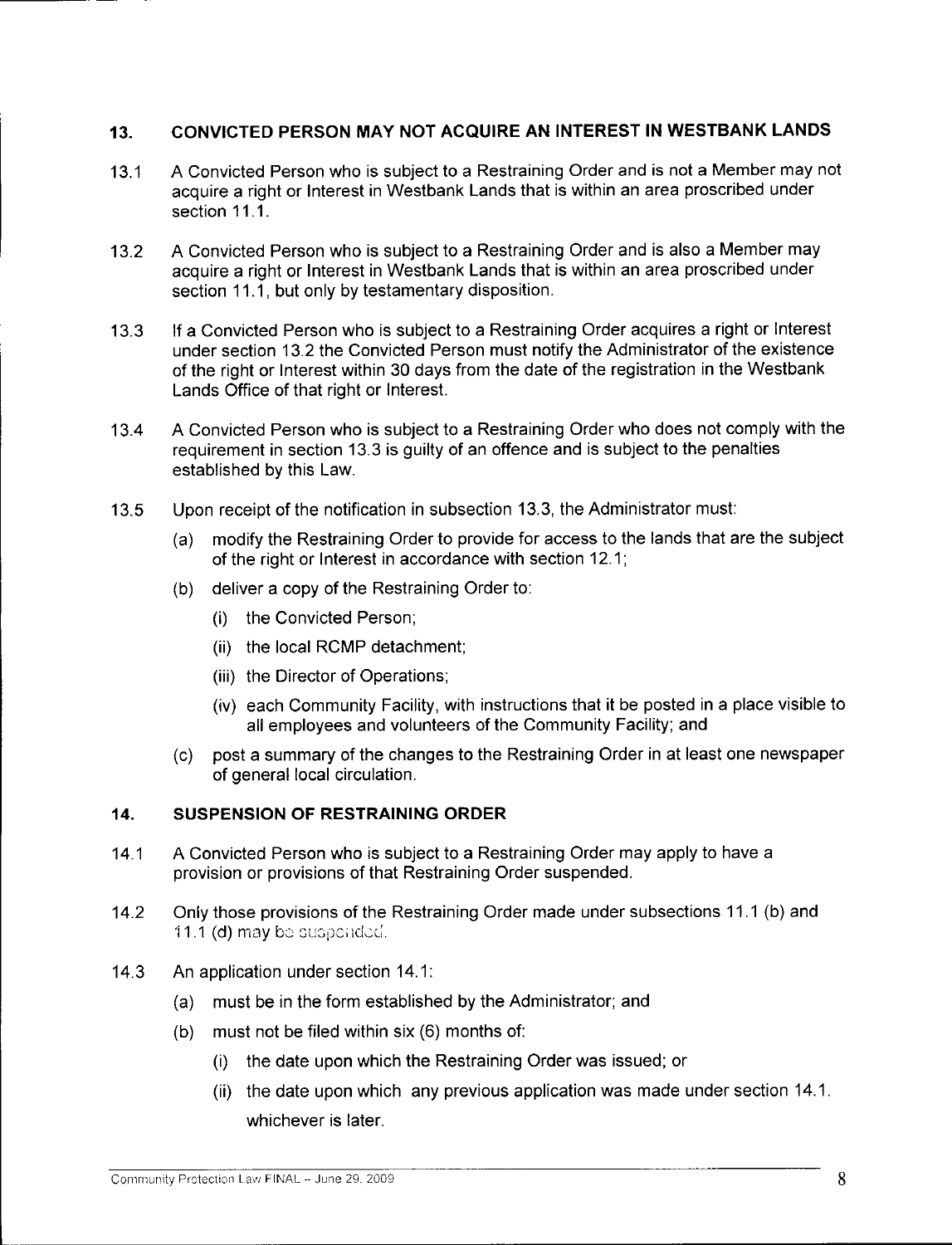# 13. CONVICTED PERSON MAY NOT ACQUIRE AN INTEREST IN WESTBANK LANDS

- 13.1 <sup>A</sup> Convicted Person who is subject to <sup>a</sup> Restraining Order and is not <sup>a</sup> Member may not acquire <sup>a</sup> right or Interest in Westbank Lands that is within an area proscribed under section 11.1.
- 13.2 <sup>A</sup> Convicted Person who is subject to <sup>a</sup> Restraining Order and is also <sup>a</sup> Member may acquire <sup>a</sup> right or Interest in Westbank Lands that is within an area proscribed under section 11.1, but only by testamentary disposition.
- 13.3 If <sup>a</sup> Convicted Person who is subject to <sup>a</sup> Restraining Order acquires <sup>a</sup> right or Interest under section 13.2 the Convicted Person must notify the Administrator of the existence of the right or Interest within 30 days from the date of the registration in the Westbank Lands Office of that right or Interest.
- 13.4 <sup>A</sup> Convicted Person who is subject to <sup>a</sup> Restraining Order who does not comply with the requirement in section 13.3 is guilty of an offence and is subject to the penalties established by this Law.
- 13.5 Upon receipt of the notification in subsection 13.3, the Administrator must:
	- a) modify the Restraining Order to provide for access to the lands that are the subject of the right or Interest in accordance with section 12.1;
	- b) deliver <sup>a</sup> copy of the Restraining Order to:
		- i) the Convicted Person;
		- (ii) the local RCMP detachment;
		- (iii) the Director of Operations;
		- iv) each Community Facility, with instructions that it be posted in <sup>a</sup> place visible to all employees and volunteers of the Community Facility; and
	- c) post <sup>a</sup> summary of the changes to the Restraining Order in at least one newspaper of general local circulation.

### 14. SUSPENSION OF RESTRAINING ORDER

- 14.1 <sup>A</sup> Convicted Person who is subject to <sup>a</sup> Restraining Order may apply to have <sup>a</sup> provision or provisions of that Restraining Order suspended.
- 14.2 Only those provisions of the Restraining Order made under subsections 11.1 (b) and 11.1 (d) may be suspended.
- 14.3 An application under section 14.1:
	- a) must be in the form established by the Administrator; and
	- b) must not be filed within six (6) months of:
		- i) the date upon which the Restraining Order was issued; or
		- ii) the date upon which any previous application was made under section 14.1. whichever is later.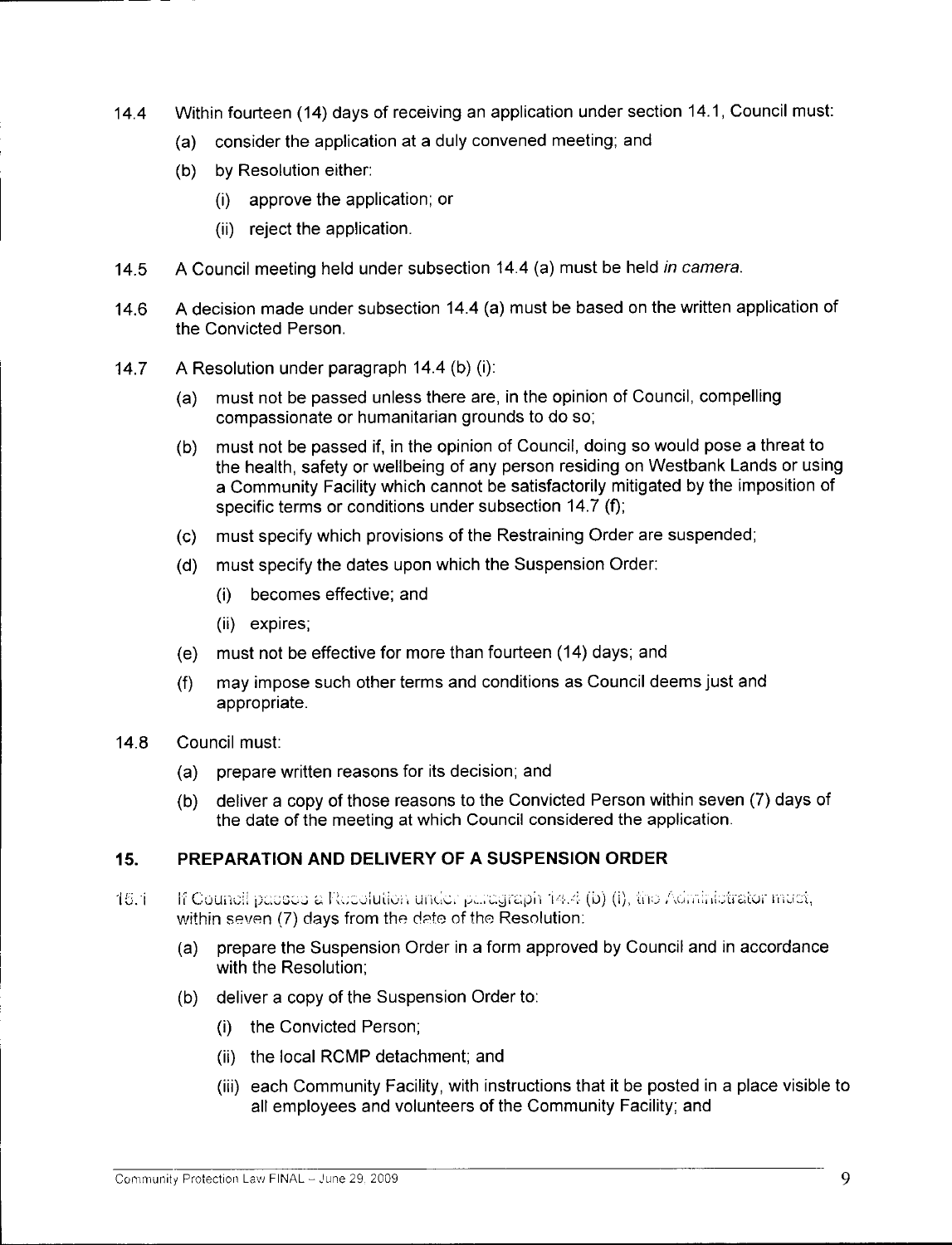- 14.4 Within fourteen (14) days of receiving an application under section 14. 1, Council must:
	- a) consider the application at <sup>a</sup> duly convened meeting; and
	- b) by Resolution either:
		- i) approve the application; or
		- ii) reject the application.
- 14.5 A Council meeting held under subsection 14.4 (a) must be held in camera.
- 14.6 <sup>A</sup> decision made under subsection 14.4 (a) must be based on the written application of the Convicted Person.
- 14.7 <sup>A</sup> Resolution under paragraph 14.4 (b) (i):
	- must not be passed unless there are, in the opinion of Council, compelling compassionate or humanitarian grounds to do so;
	- b) must not be passed if, in the opinion of Council, doing so would pose <sup>a</sup> threat to the health, safety or wellbeing of any person residing on Westbank Lands or using <sup>a</sup> Community Facility which cannot be satisfactorily mitigated by the imposition of the health, safety or wellbeing of any person residing on VV<br>a Community Facility which cannot be satisfactorily mitigat<br>specific terms or conditions under subsection 14.7 (f);
	- c) must specify which provisions of the Restraining Order are suspended;
	- d) must specify the dates upon which the Suspension Order: i) becomes effective; and
		-
		- (ii) expires;
	- e) must not be effective for more than fourteen (14) days; and
	- f) may impose such other terms and conditions as Council deems just and appropriate.
- 14.8 Council must:
	- a) prepare written reasons for its decision; and
	- b) deliver <sup>a</sup> copy of those reasons to the Convicted Person within seven (7) days of the date of the meeting at which Council considered the application.

### 15. PREPARATION AND DELIVERY OF A SUSPENSION ORDER

- If Council passes a Recolution under paragraph  $14.4$  (b) (i), the Administrator must, within seven (7) days from the date of the Resolution: **15.1** 
	- a) prepare the Suspension Order in <sup>a</sup> form approved by Council and in accordance with the Resolution;
	- b) deliver <sup>a</sup> copy of the Suspension Order to:
		- i) the Convicted Person;
		- ii) the local RCMP detachment; and
		- iii) each Community Facility, with instructions that it be posted in <sup>a</sup> place visible to all employees and volunteers of the Community Facility; and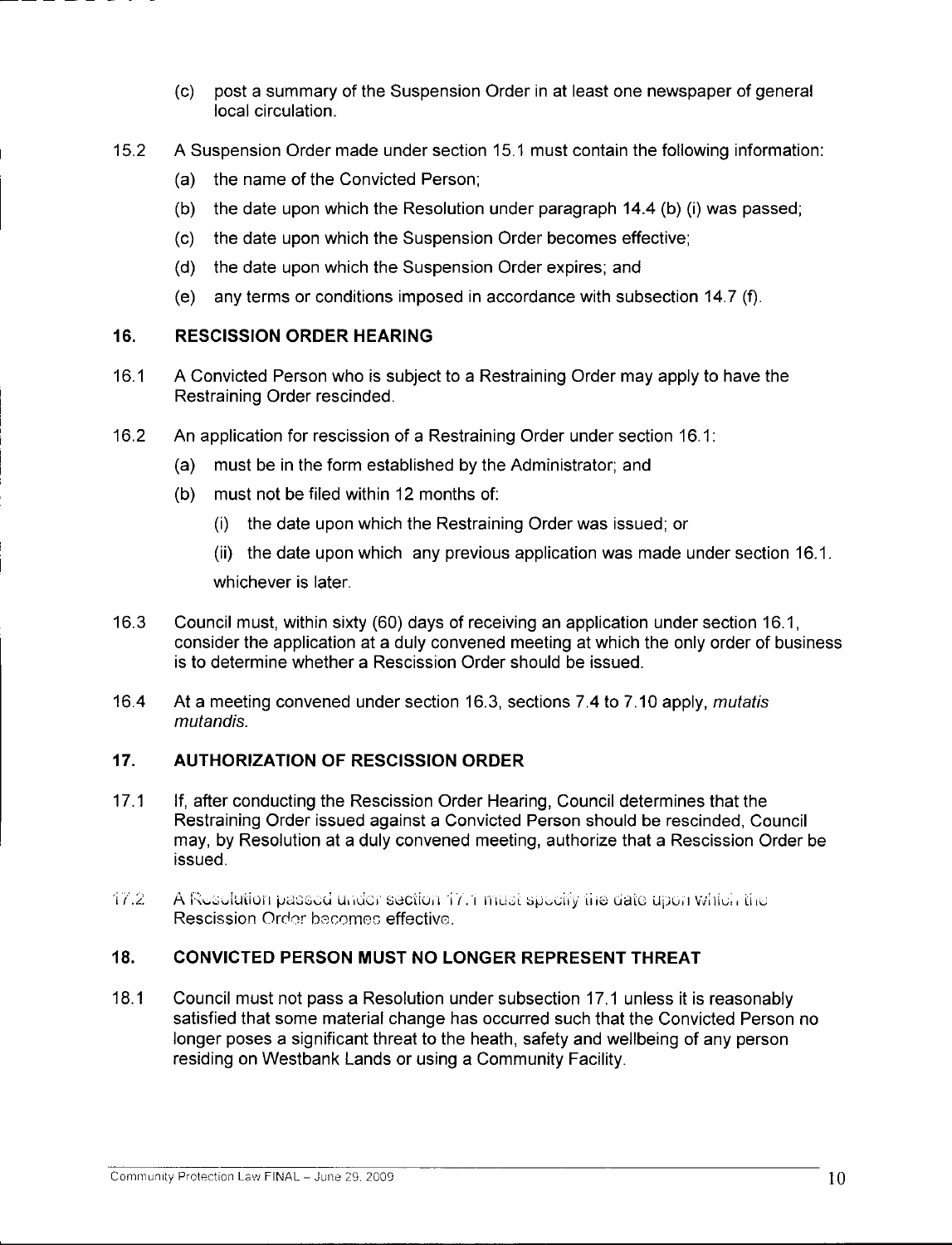- c) post <sup>a</sup> summary of the Suspension Order in at least one newspaper of general local circulation.
- 15.2 <sup>A</sup> Suspension Order made under section 15.1 must contain the following information:
	- a) the name of the Convicted Person;
	- (b) the date upon which the Resolution under paragraph  $14.4$  (b) (i) was passed;
	- c) the date upon which the Suspension Order becomes effective;
	- d) the date upon which the Suspension Order expires; and
	- e) any terms or conditions imposed in accordance with subsection 14.7 (f).

## 16. RESCISSION ORDER HEARING

- 16.1 <sup>A</sup> Convicted Person who is subject to <sup>a</sup> Restraining Order may apply to have the Restraining Order rescinded.
- 16.2 An application for rescission of <sup>a</sup> Restraining Order under section 16.1:
	- a) must be in the form established by the Administrator; and
	- b) must not be filed within <sup>12</sup> months of:
		- i) the date upon which the Restraining Order was issued; or
		- ii) the date upon which any previous application was made under section 16.1. whichever is later.
- 16.3 Council must, within sixty (60) days of receiving an application under section 16. 1, consider the application at a duly convened meeting at which the only order of business is to determine whether a Rescission Order should be issued.
- 16.4 At <sup>a</sup> meeting convened under section 16.3, sections 7.4 to 7.10 apply, mutatis mutandis.

# 17. AUTHORIZATION OF RESCISSION ORDER

- 17.1 If, after conducting the Rescission Order Hearing, Council determines that the Restraining Order issued against a Convicted Person should be rescinded, Council nour animy order redded against a cerritical resident sheard be recentably, coalitating<br>may, by Resolution at a duly convened meeting, authorize that a Rescission Order be<br>issued.<br>Rescission Order becomes effective. issued. 17.1 If, after condu<br>Restraining C<br>may, by Resc<br>issued.<br>i7.2 A Resolution<br>Rescission O
- A Resolution passed under section 17.1 must specify the date upon which the Rescission Order becomes effective.

# 18. CONVICTED PERSON MUST NO LONGER REPRESENT THREAT

18.1 Council must not pass <sup>a</sup> Resolution under subsection 17.1 unless it is reasonably satisfied that some material change has occurred such that the Convicted Person no longer poses <sup>a</sup> significant threat to the heath, safety and wellbeing of any person residing on Westbank Lands or using <sup>a</sup> Community Facility.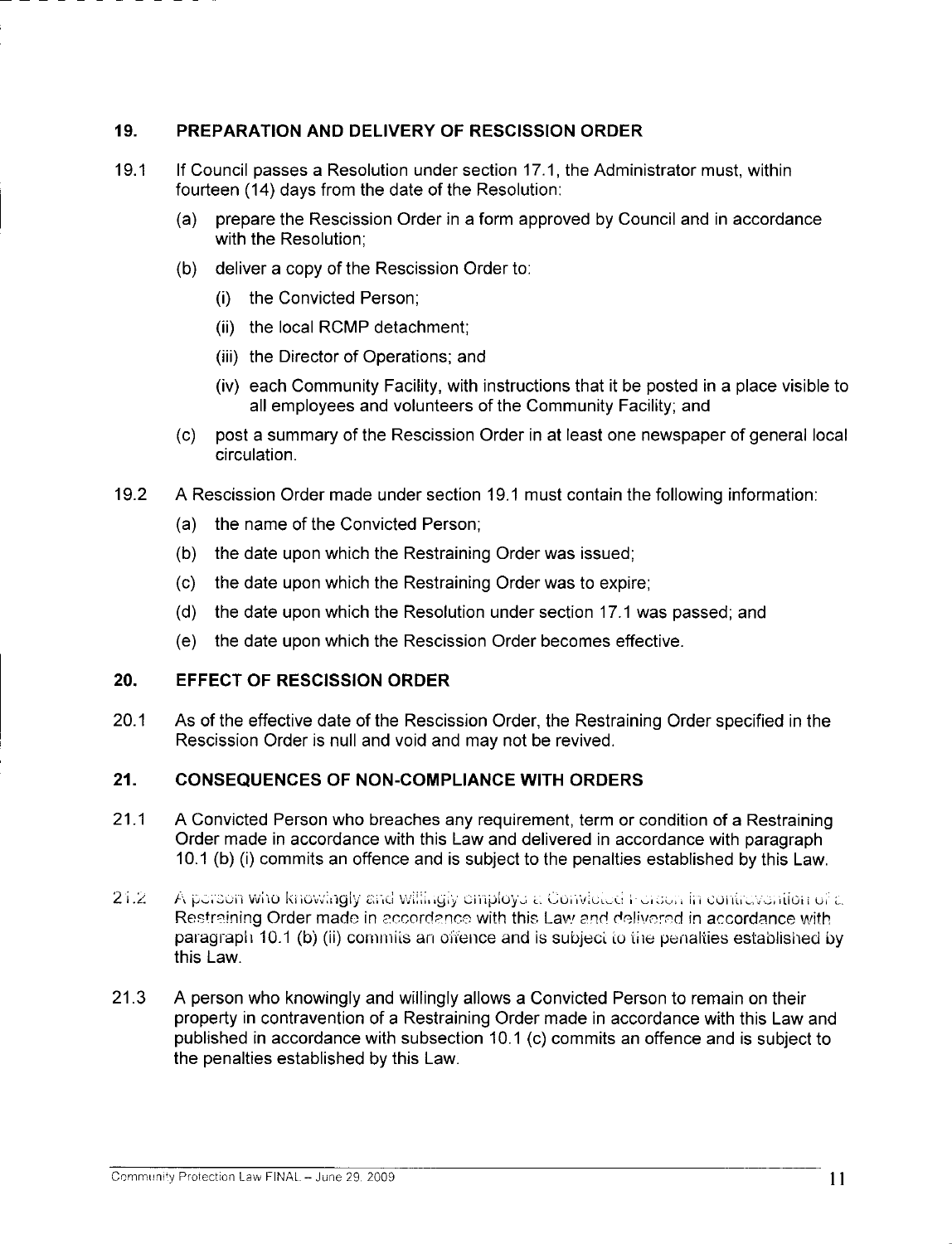### 19. PREPARATION AND DELIVERY OF RESCISSION ORDER

- 19.1 If Council passes <sup>a</sup> Resolution under section 17.1, the Administrator must, within fourteen (14) days from the date of the Resolution:
	- a) prepare the Rescission Order in <sup>a</sup> form approved by Council and in accordance with the Resolution;
	- b) deliver <sup>a</sup> copy of the Rescission Order to: i) the Convicted Person;
		-
		- ii) the local RCMP detachment;
		- (iii) the Director of Operations; and
		- iv) each Community Facility, with instructions that it be posted in <sup>a</sup> place visible to all employees and volunteers of the Community Facility; and
	- c) post <sup>a</sup> summary of the Rescission Order in at least one newspaper of general local circulation.
- 19.2 <sup>A</sup> Rescission Order made under section 19.1 must contain the following information:
	- a) the name of the Convicted Person;
	- b) the date upon which the Restraining Order was issued;
	- c) the date upon which the Restraining Order was to expire;
	- d) the date upon which the Resolution under section 17.1 was passed; and
	- e) the date upon which the Rescission Order becomes effective.

### 20. EFFECT OF RESCISSION ORDER

20.1 As of the effective date of the Rescission Order, the Restraining Order specified in the Rescission Order is null and void and may not be revived.

#### 21. CONSEQUENCES OF NON-COMPLIANCE WITH ORDERS

- 21.1 <sup>A</sup> Convicted Person who breaches any requirement, term or condition of <sup>a</sup> Restraining Order made in accordance with this Law and delivered in accordance with paragraph 10.1 (b) (i) commits an offence and is subject to the penalties established by this Law. Ny escape of the Ny and May not be revived.<br>
1. CONSEQUENCES OF NON-COMPLIANCE WITH ORDERS<br>
2. A Convicted Person who breaches any requirement, term or condition of a Restraining<br>
2. Order made in accordance with this Law
- A person who knowingly and willingly employe a Convicted Herson in contravention of a<br>Restraining Order made in accordance with this Law and delivered in accordance with paragraph 10.1 (b) (ii) commits an offence and is subject to the penalties established by this Law.
- 21.3 <sup>A</sup> person who knowingly and willingly allows <sup>a</sup> Convicted Person to remain on their property in contravention of a Restraining Order made in accordance with this Law and published in accordance with subsection 10.1 (c) commits an offence and is subject to the penalties established by this Law.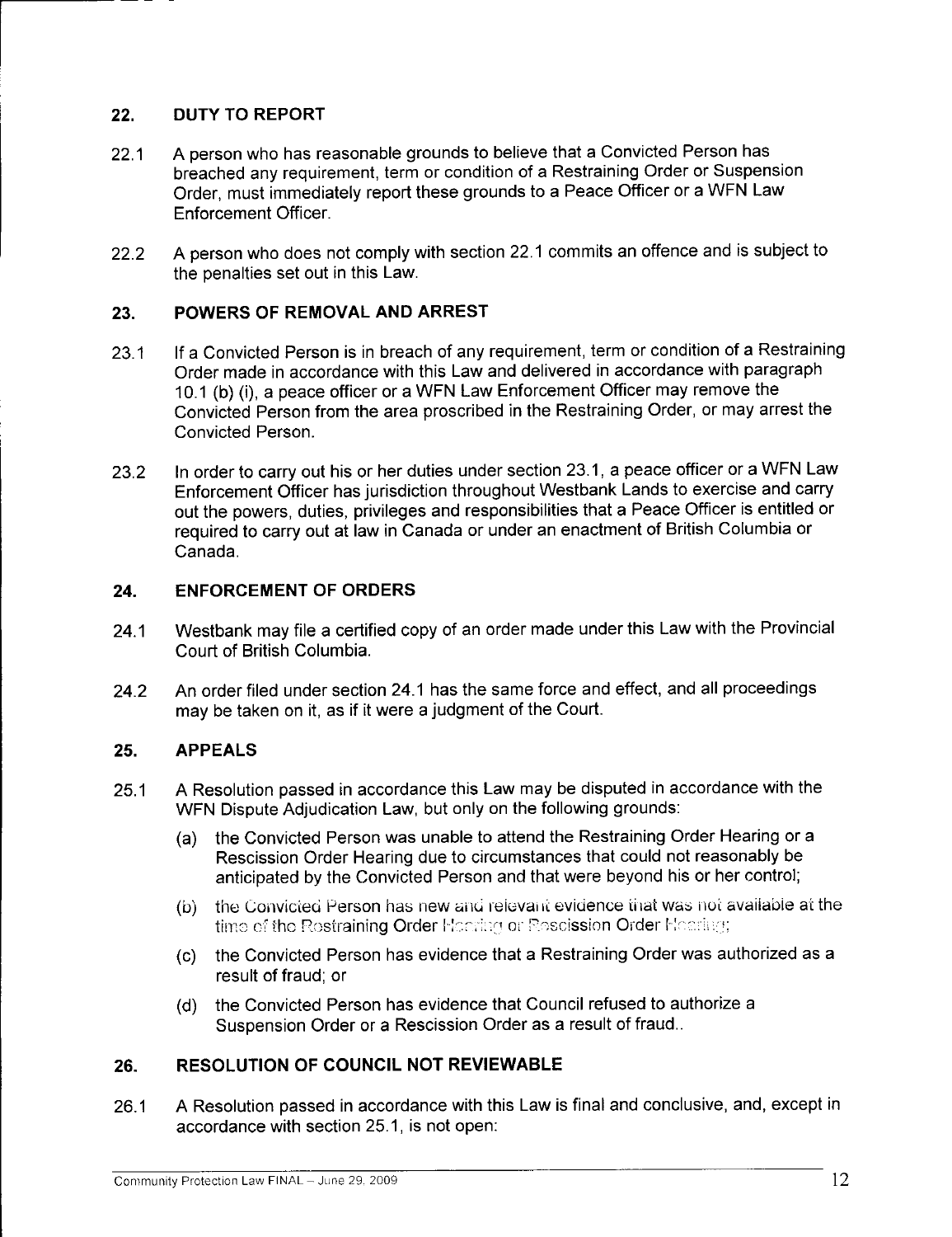## 22. DUTY TO REPORT

- 22.1 <sup>A</sup> person who has reasonable grounds to believe that <sup>a</sup> Convicted Person has breached any requirement, term or condition of <sup>a</sup> Restraining Order or Suspension Order, must immediately report these grounds to <sup>a</sup> Peace Officer or <sup>a</sup> WFN Law Enforcement Officer.
- 22.2 <sup>A</sup> person who does not comply with section 22.1 commits an offence and is subject to the penalties set out in this Law.

## 23. POWERS OF REMOVAL AND ARREST

- 23.1 If a Convicted Person is in breach of any requirement, term or condition of a Restraining<br>Order made in accordance with this Law and delivered in accordance with paragraph<br>10.1 (b) (i), a peace officer or a WFN Law En Order made in accordance with this Law and delivered in accordance with paragraph 10.1 (b) (i), a peace officer or a WFN Law Enforcement Officer may remove the Convicted Person from the area proscribed in the Restraining Order, or may arrest the Convicted Person.
- 23.2 In order to carry out his or her duties under section 23.1, <sup>a</sup> peace officer or <sup>a</sup> WFN Law Enforcement Officer has jurisdiction throughout Westbank Lands to exercise and carry out the powers, duties, privileges and responsibilities that <sup>a</sup> Peace Officer is entitled or required to carry out at law in Canada or under an enactment of British Columbia or Canada.

## 24. ENFORCEMENT OF ORDERS

- 24.1 Westbank may file <sup>a</sup> certified copy of an order made under this Law with the Provincial Court of British Columbia.
- 24.2 An order filed under section 24.1 has the same force and effect, and all proceedings may be taken on it, as if it were <sup>a</sup> judgment of the Court.

### 25. APPEALS

- 25.1 <sup>A</sup> Resolution passed in accordance this Law may be disputed in accordance with the WFN Dispute Adjudication Law, but only on the following grounds:
	- a) the Convicted Person was unable to attend the Restraining Order Hearing or <sup>a</sup> Rescission Order Hearing due to circumstances that could not reasonably be anticipated by the Convicted Person and that were beyond his or her control;
	- (b) the Convicted Person has new and relevant evidence that was not available at the the Convicted Person has new and relevant evidence that wa<br>time of the Re<mark>straining Order</mark> Hodring or Re<mark>scission Order</mark> Ha
	- c) the Convicted Person has evidence that <sup>a</sup> Restraining Order was authorized as <sup>a</sup> result of fraud; or
	- d) the Convicted Person has evidence that Council refused to authorize <sup>a</sup> Suspension Order or <sup>a</sup> Rescission Order as <sup>a</sup> result of fraud..

# 26. RESOLUTION OF COUNCIL NOT REVIEWABLE

26.1 <sup>A</sup> Resolution passed in accordance with this Law is final and conclusive, and, except in accordance with section 25.1, is not open: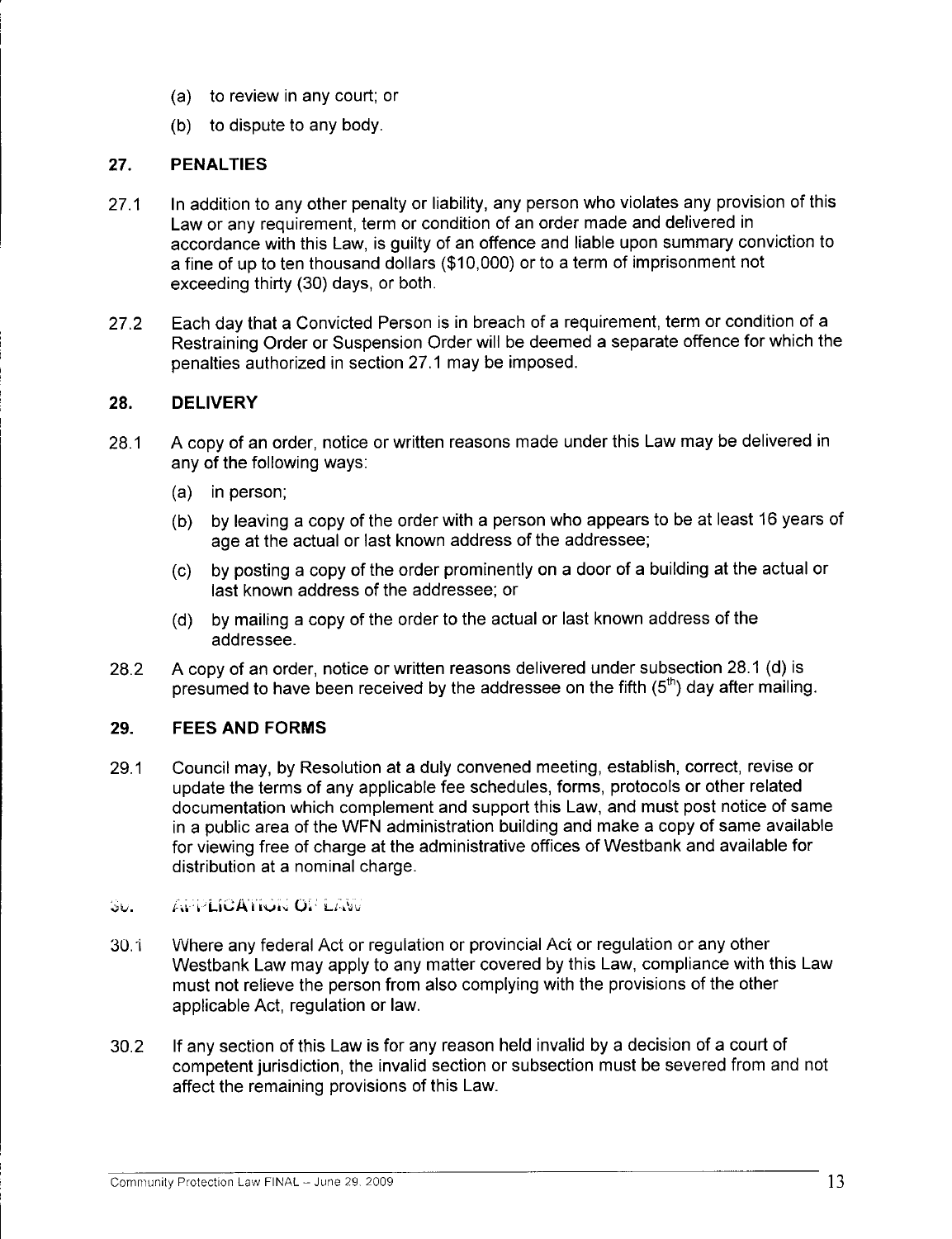- a) to review in any court; or
- b) to dispute to any body.

## 27. PENALTIES

- 27.1 In addition to any other penalty or liability, any person who violates any provision of this Law or any requirement, term or condition of an order made and delivered in accordance with this Law, is guilty of an offence and liable upon summary conviction to <sup>a</sup> fine of up to ten thousand dollars (\$10,000) or to <sup>a</sup> term of imprisonment not exceeding thirty (30) days, or both.
- 27.2 Each day that <sup>a</sup> Convicted Person is in breach of <sup>a</sup> requirement, term or condition of <sup>a</sup> Restraining Order or Suspension Order will be deemed <sup>a</sup> separate offence for which the penalties authorized in section 27.1 may be imposed.

## 28. DELIVERY

- 28.1 <sup>A</sup> copy of an order, notice or written reasons made under this Law may be delivered in any of the following ways:
	- a) in person;
	- b) by leaving <sup>a</sup> copy of the order with <sup>a</sup> person who appears to be at least <sup>16</sup> years of age at the actual or last known address of the addressee;
	- c) by posting <sup>a</sup> copy of the order prominently on <sup>a</sup> door of <sup>a</sup> building at the actual or last known address of the addressee; or
	- d) by mailing <sup>a</sup> copy of the order to the actual or last known address of the addressee.
- 28.2 <sup>A</sup> copy of an order, notice or written reasons delivered under subsection 28.1 (d) is presumed to have been received by the addressee on the fifth  $(5<sup>th</sup>)$  day after mailing.

### 29. FEES AND FORMS

- 29.1 Council may, by Resolution at <sup>a</sup> duly convened meeting, establish, correct, revise or update the terms of any applicable fee schedules, forms, protocols or other related documentation which complement and support this Law, and must post notice of same in <sup>a</sup> public area of the WFN administration building and make <sup>a</sup> copy of same available for viewing free of charge at the administrative offices of Westbank and available for distribution at a nominal charge.
- **APPLICATION OF LAW**  $50.$
- 30.1 Where any federal Act or regulation or provincial Act or regulation or any other Westbank Law may apply to any matter covered by this Law, compliance with this Law must not relieve the person from also complying with the provisions of the other applicable Act, regulation or law.
- 30.2 If any section of this Law is for any reason held invalid by <sup>a</sup> decision of <sup>a</sup> court of competent jurisdiction, the invalid section or subsection must be severed from and not affect the remaining provisions of this Law.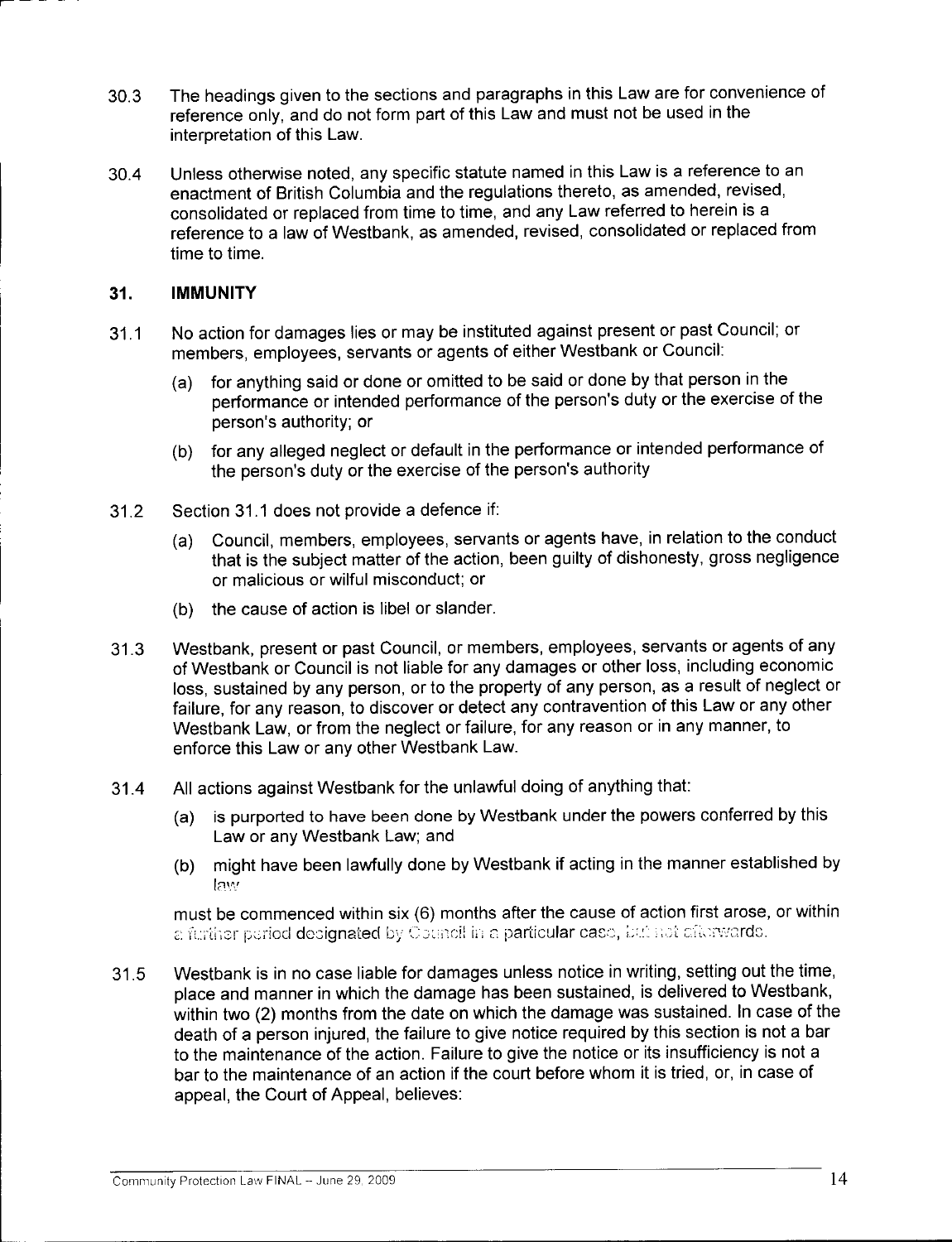- 30.3 The headings given to the sections and paragraphs in this Law are for convenience of reference only, and do not form part of this Law and must not be used in the interpretation of this Law.
- 30.4 Unless otherwise noted, any specific statute named in this Law is <sup>a</sup> reference to an enactment of British Columbia and the regulations thereto, as amended, revised, consolidated or replaced from time to time, and any Law referred to herein is <sup>a</sup> reference to <sup>a</sup> law of Westbank, as amended, revised, consolidated or replaced from time to time.

### 31. IMMUNITY

- 31.1 No action for damages lies or may be instituted against present or past Council; or members, employees, servants or agents of either Westbank or Council:
	- a) for anything said or done or omitted to be said or done by that person in the percy empreysed, entertaint and your control of the said or done by that person in the performance or intended performance of the person's duty or the exercise of the personal extended performance of the person's duty or t for anything said or d<br>performance or inten<br>person's authority; or
	- b) for any alleged neglect or default in the performance or intended performance of the person's duty or the exercise of the person's authority
- 31.2 Section 31.1 does not provide <sup>a</sup> defence if:
	- a) Council, members, employees, servants or agents have, in relation to the conduct that is the subject matter of the action, been guilty of dishonesty, gross negligence or malicious or wilful misconduct; or
	- b) the cause of action is libel or slander.
- 31.3 Westbank, present or past Council, or members, employees, servants or agents of any of Westbank or Council is not liable for any damages or other loss, including economic loss, sustained by any person, or to the property of any person, as <sup>a</sup> result of neglect or failure, for any reason, to discover or detect any contravention of this Law or any other Westbank Law, or from the neglect or failure, for any reason or in any manner, to enforce this Law or any other Westbank Law.
- 31.4 All actions against Westbank for the unlawful doing of anything that:
	- a) is purported to have been done by Westbank under the powers conferred by this Law or any Westbank Law; and
	- b) might have been lawfully done by Westbank if acting in the manner established by law<sup>i</sup>

must be commenced within six (6) months after the cause of action first arose, or within a further period designated by Council in a particular case, but not afterwards.

31.5 Westbank is in no case liable for damages unless notice in writing, setting out the time, place and manner in which the damage has been sustained, is delivered to Westbank, within two (2) months from the date on which the damage was sustained. In case of the death of <sup>a</sup> person injured, the failure to give notice required by this section is not <sup>a</sup> bar to the maintenance of the action. Failure to give the notice or its insufficiency is not <sup>a</sup> bar to the maintenance of an action if the court before whom it is tried, or, in case of appeal, the Court of Appeal, believes: